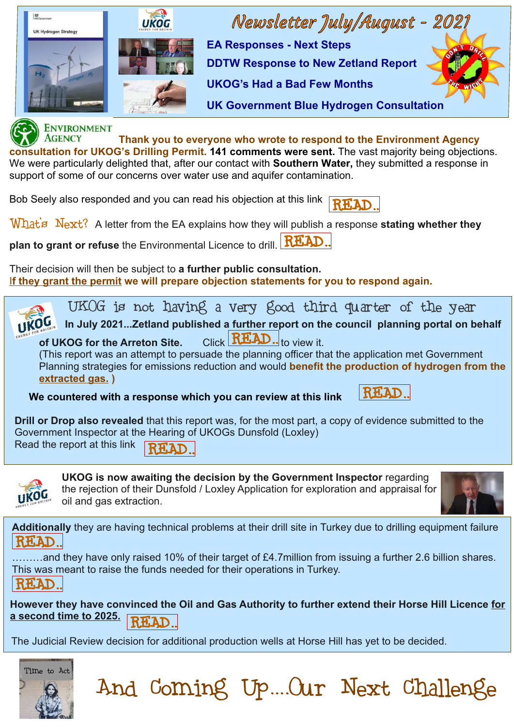

support of some of our concerns over water use and aquifer contamination.

Bob Seely also responded and you can read his objection at this link

What's Next? A letter from the EA explains how they will publish a response stating whether they

[READ..](https://www.bobseely.org.uk/news/mp-responds-consultation-uk-oil-and-gas-environmental-permit)

**plan to grant or refuse** the Environmental Licence to drill. [READ..](https://0f514b74-9474-4f50-9f21-e2a47e831cb8.filesusr.com/ugd/3efc11_353447e799a24d55a3505e9c2f4d26fb.pdf)

Their decision will then be subject to **a further public consultation.** I**f they grant the permit we will prepare objection statements for you to respond again.** 



**Drill or Drop also revealed** that this report was, for the most part, a copy of evidence submitted to the Government Inspector at the Hearing of UKOGs Dunsfold (Loxley) Read the report at this link RH.AD.



 $\overline{a}$ 

**UKOG is now awaiting the decision by the Government Inspector** regarding the rejection of their Dunsfold / Loxley Application for exploration and appraisal for oil and gas extraction.



**Additionally** they are having technical problems at their drill site in Turkey due to drilling equipment failure [READ..](https://drillordrop.com/2021/08/02/disappointing-pause-on-ukogs-turkish-well/)

.........and they have only raised 10% of their target of £4.7million from issuing a further 2.6 billion shares. This was meant to raise the funds needed for their operations in Turkey. [READ..](https://drillordrop.com/2021/07/27/ukog-share-offer-raises-10pc-of-target/)

**However they have convinced the Oil and Gas Authority to further extend their Horse Hill Licence for a second time to 2025.** 

And Coming Up....Our Next Challenge

The Judicial Review decision for additional production wells at Horse Hill has yet to be decided.